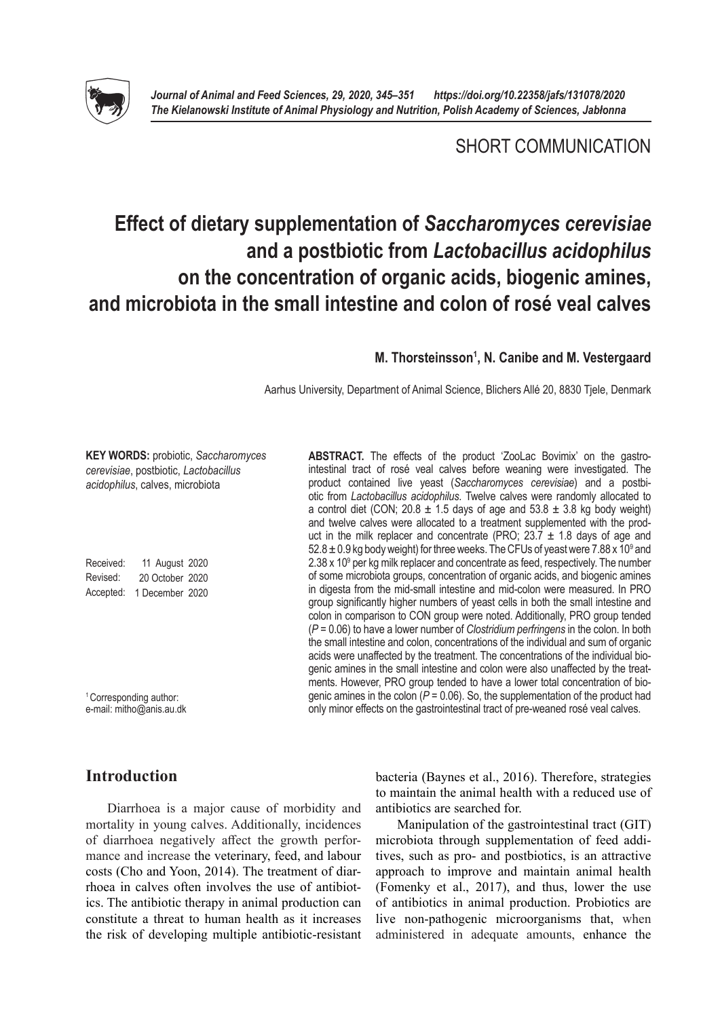

# SHORT COMMUNICATION

# **Effect of dietary supplementation of** *Saccharomyces cerevisiae*  **and a postbiotic from** *Lactobacillus acidophilus* **on the concentration of organic acids, biogenic amines, and microbiota in the small intestine and colon of rosé veal calves**

# M. Thorsteinsson<sup>1</sup>, N. Canibe and M. Vestergaard

Aarhus University, Department of Animal Science, Blichers Allé 20, 8830 Tjele, Denmark

| <b>KEY WORDS: probiotic, Saccharomyces</b><br>cerevisiae, postbiotic, Lactobacillus<br>acidophilus, calves, microbiota | ABSTRACT. The effects of the product 'ZooLac Bovimix' on the gastro-<br>intestinal tract of rosé veal calves before weaning were investigated. The<br>product contained live yeast (Saccharomyces cerevisiae) and a postbi-<br>otic from Lactobacillus acidophilus. Twelve calves were randomly allocated to<br>a control diet (CON; 20.8 $\pm$ 1.5 days of age and 53.8 $\pm$ 3.8 kg body weight)<br>and twelve calves were allocated to a treatment supplemented with the prod-<br>uct in the milk replacer and concentrate (PRO; $23.7 \pm 1.8$ days of age and<br>$52.8 \pm 0.9$ kg body weight) for three weeks. The CFUs of yeast were 7.88 x 10 <sup>9</sup> and                |
|------------------------------------------------------------------------------------------------------------------------|----------------------------------------------------------------------------------------------------------------------------------------------------------------------------------------------------------------------------------------------------------------------------------------------------------------------------------------------------------------------------------------------------------------------------------------------------------------------------------------------------------------------------------------------------------------------------------------------------------------------------------------------------------------------------------------|
| Received:<br>11 August 2020                                                                                            | $2.38 \times 10^9$ per kg milk replacer and concentrate as feed, respectively. The number                                                                                                                                                                                                                                                                                                                                                                                                                                                                                                                                                                                              |
| Revised:<br>20 October 2020                                                                                            | of some microbiota groups, concentration of organic acids, and biogenic amines                                                                                                                                                                                                                                                                                                                                                                                                                                                                                                                                                                                                         |
| Accepted:<br>1 December 2020                                                                                           | in digesta from the mid-small intestine and mid-colon were measured. In PRO<br>group significantly higher numbers of yeast cells in both the small intestine and<br>colon in comparison to CON group were noted. Additionally, PRO group tended<br>$(P = 0.06)$ to have a lower number of Clostridium perfringens in the colon. In both<br>the small intestine and colon, concentrations of the individual and sum of organic<br>acids were unaffected by the treatment. The concentrations of the individual bio-<br>genic amines in the small intestine and colon were also unaffected by the treat-<br>ments. However, PRO group tended to have a lower total concentration of bio- |
| <sup>1</sup> Corresponding author:<br>e-mail: mitho@anis.au.dk                                                         | genic amines in the colon ( $P = 0.06$ ). So, the supplementation of the product had<br>only minor effects on the gastrointestinal tract of pre-weaned rosé veal calves.                                                                                                                                                                                                                                                                                                                                                                                                                                                                                                               |

# **Introduction**

Diarrhoea is a major cause of morbidity and mortality in young calves. Additionally, incidences of diarrhoea negatively affect the growth performance and increase the veterinary, feed, and labour costs (Cho and Yoon, 2014). The treatment of diarrhoea in calves often involves the use of antibiotics. The antibiotic therapy in animal production can constitute a threat to human health as it increases the risk of developing multiple antibiotic-resistant bacteria (Baynes et al., 2016). Therefore, strategies to maintain the animal health with a reduced use of antibiotics are searched for.

Manipulation of the gastrointestinal tract (GIT) microbiota through supplementation of feed additives, such as pro- and postbiotics, is an attractive approach to improve and maintain animal health (Fomenky et al., 2017), and thus, lower the use of antibiotics in animal production. Probiotics are live non-pathogenic microorganisms that, when administered in adequate amounts, enhance the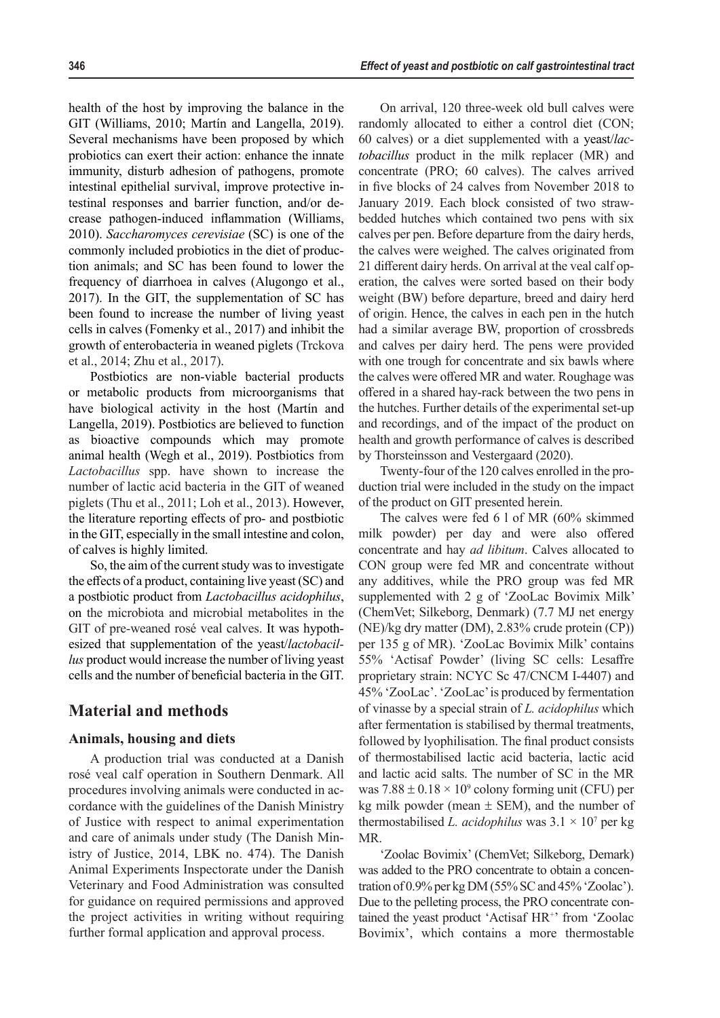health of the host by improving the balance in the GIT (Williams, 2010; Martín and Langella, 2019). Several mechanisms have been proposed by which probiotics can exert their action: enhance the innate immunity, disturb adhesion of pathogens, promote intestinal epithelial survival, improve protective intestinal responses and barrier function, and/or decrease pathogen-induced inflammation (Williams, 2010). *Saccharomyces cerevisiae* (SC) is one of the commonly included probiotics in the diet of production animals; and SC has been found to lower the frequency of diarrhoea in calves (Alugongo et al., 2017). In the GIT, the supplementation of SC has been found to increase the number of living yeast cells in calves (Fomenky et al., 2017) and inhibit the growth of enterobacteria in weaned piglets (Trckova et al., 2014; Zhu et al., 2017).

Postbiotics are non-viable bacterial products or metabolic products from microorganisms that have biological activity in the host (Martín and Langella, 2019). Postbiotics are believed to function as bioactive compounds which may promote animal health (Wegh et al., 2019). Postbiotics from *Lactobacillus* spp. have shown to increase the number of lactic acid bacteria in the GIT of weaned piglets (Thu et al., 2011; Loh et al., 2013). However, the literature reporting effects of pro- and postbiotic in the GIT, especially in the small intestine and colon, of calves is highly limited.

So, the aim of the current study was to investigate the effects of a product, containing live yeast (SC) and a postbiotic product from *Lactobacillus acidophilus*, on the microbiota and microbial metabolites in the GIT of pre-weaned rosé veal calves. It was hypothesized that supplementation of the yeast/*lactobacillus* product would increase the number of living yeast cells and the number of beneficial bacteria in the GIT.

# **Material and methods**

### **Animals, housing and diets**

A production trial was conducted at a Danish rosé veal calf operation in Southern Denmark. All procedures involving animals were conducted in accordance with the guidelines of the Danish Ministry of Justice with respect to animal experimentation and care of animals under study (The Danish Ministry of Justice, 2014, LBK no. 474). The Danish Animal Experiments Inspectorate under the Danish Veterinary and Food Administration was consulted for guidance on required permissions and approved the project activities in writing without requiring further formal application and approval process.

On arrival, 120 three-week old bull calves were randomly allocated to either a control diet (CON; 60 calves) or a diet supplemented with a yeast/*lactobacillus* product in the milk replacer (MR) and concentrate (PRO; 60 calves). The calves arrived in five blocks of 24 calves from November 2018 to January 2019. Each block consisted of two strawbedded hutches which contained two pens with six calves per pen. Before departure from the dairy herds, the calves were weighed. The calves originated from 21 different dairy herds. On arrival at the veal calf operation, the calves were sorted based on their body weight (BW) before departure, breed and dairy herd of origin. Hence, the calves in each pen in the hutch had a similar average BW, proportion of crossbreds and calves per dairy herd. The pens were provided with one trough for concentrate and six bawls where the calves were offered MR and water. Roughage was offered in a shared hay-rack between the two pens in the hutches. Further details of the experimental set-up and recordings, and of the impact of the product on health and growth performance of calves is described by Thorsteinsson and Vestergaard (2020).

Twenty-four of the 120 calves enrolled in the production trial were included in the study on the impact of the product on GIT presented herein.

The calves were fed 6 l of MR (60% skimmed milk powder) per day and were also offered concentrate and hay *ad libitum*. Calves allocated to CON group were fed MR and concentrate without any additives, while the PRO group was fed MR supplemented with 2 g of 'ZooLac Bovimix Milk' (ChemVet; Silkeborg, Denmark) (7.7 MJ net energy (NE)/kg dry matter (DM), 2.83% crude protein (CP)) per 135 g of MR). 'ZooLac Bovimix Milk' contains 55% 'Actisaf Powder' (living SC cells: Lesaffre proprietary strain: NCYC Sc 47/CNCM I-4407) and 45% 'ZooLac'. 'ZooLac' is produced by fermentation of vinasse by a special strain of *L. acidophilus* which after fermentation is stabilised by thermal treatments, followed by lyophilisation. The final product consists of thermostabilised lactic acid bacteria, lactic acid and lactic acid salts. The number of SC in the MR was  $7.88 \pm 0.18 \times 10^9$  colony forming unit (CFU) per kg milk powder (mean  $\pm$  SEM), and the number of thermostabilised *L. acidophilus* was  $3.1 \times 10^7$  per kg MR.

'Zoolac Bovimix' (ChemVet; Silkeborg, Demark) was added to the PRO concentrate to obtain a concentration of 0.9% per kg DM (55% SC and 45% 'Zoolac'). Due to the pelleting process, the PRO concentrate contained the yeast product 'Actisaf HR<sup>+</sup>' from 'Zoolac Bovimix', which contains a more thermostable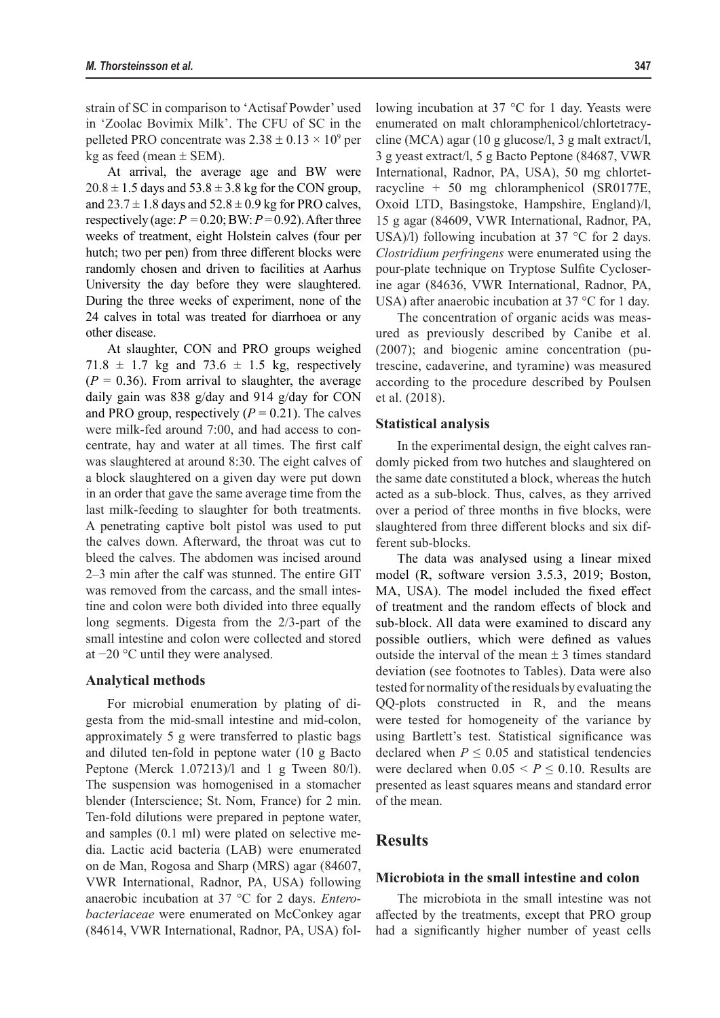strain of SC in comparison to 'Actisaf Powder' used in 'Zoolac Bovimix Milk'. The CFU of SC in the pelleted PRO concentrate was  $2.38 \pm 0.13 \times 10^9$  per kg as feed (mean  $\pm$  SEM).

At arrival, the average age and BW were  $20.8 \pm 1.5$  days and  $53.8 \pm 3.8$  kg for the CON group, and  $23.7 \pm 1.8$  days and  $52.8 \pm 0.9$  kg for PRO calves, respectively (age:  $P = 0.20$ ; BW:  $P = 0.92$ ). After three weeks of treatment, eight Holstein calves (four per hutch; two per pen) from three different blocks were randomly chosen and driven to facilities at Aarhus University the day before they were slaughtered. During the three weeks of experiment, none of the 24 calves in total was treated for diarrhoea or any other disease.

At slaughter, CON and PRO groups weighed  $71.8 \pm 1.7$  kg and  $73.6 \pm 1.5$  kg, respectively  $(P = 0.36)$ . From arrival to slaughter, the average daily gain was 838 g/day and 914 g/day for CON and PRO group, respectively  $(P = 0.21)$ . The calves were milk-fed around 7:00, and had access to concentrate, hay and water at all times. The first calf was slaughtered at around 8:30. The eight calves of a block slaughtered on a given day were put down in an order that gave the same average time from the last milk-feeding to slaughter for both treatments. A penetrating captive bolt pistol was used to put the calves down. Afterward, the throat was cut to bleed the calves. The abdomen was incised around 2–3 min after the calf was stunned. The entire GIT was removed from the carcass, and the small intestine and colon were both divided into three equally long segments. Digesta from the 2/3-part of the small intestine and colon were collected and stored at −20 °C until they were analysed.

#### **Analytical methods**

For microbial enumeration by plating of digesta from the mid-small intestine and mid-colon, approximately 5 g were transferred to plastic bags and diluted ten-fold in peptone water (10 g Bacto Peptone (Merck 1.07213)/l and 1 g Tween 80/l). The suspension was homogenised in a stomacher blender (Interscience; St. Nom, France) for 2 min. Ten-fold dilutions were prepared in peptone water, and samples (0.1 ml) were plated on selective media. Lactic acid bacteria (LAB) were enumerated on de Man, Rogosa and Sharp (MRS) agar (84607, VWR International, Radnor, PA, USA) following anaerobic incubation at 37 °C for 2 days. *Enterobacteriaceae* were enumerated on McConkey agar (84614, VWR International, Radnor, PA, USA) following incubation at 37 °C for 1 day. Yeasts were enumerated on malt chloramphenicol/chlortetracycline (MCA) agar (10 g glucose/l, 3 g malt extract/l, 3 g yeast extract/l, 5 g Bacto Peptone (84687, VWR International, Radnor, PA, USA), 50 mg chlortetracycline + 50 mg chloramphenicol (SR0177E, Oxoid LTD, Basingstoke, Hampshire, England)/l, 15 g agar (84609, VWR International, Radnor, PA, USA)/l) following incubation at  $37^{\circ}$ C for 2 days. *Clostridium perfringens* were enumerated using the pour-plate technique on Tryptose Sulfite Cycloserine agar (84636, VWR International, Radnor, PA, USA) after anaerobic incubation at 37 °C for 1 day.

The concentration of organic acids was measured as previously described by Canibe et al. (2007); and biogenic amine concentration (putrescine, cadaverine, and tyramine) was measured according to the procedure described by Poulsen et al. (2018).

#### **Statistical analysis**

In the experimental design, the eight calves randomly picked from two hutches and slaughtered on the same date constituted a block, whereas the hutch acted as a sub-block. Thus, calves, as they arrived over a period of three months in five blocks, were slaughtered from three different blocks and six different sub-blocks.

The data was analysed using a linear mixed model (R, software version 3.5.3, 2019; Boston, MA, USA). The model included the fixed effect of treatment and the random effects of block and sub-block. All data were examined to discard any possible outliers, which were defined as values outside the interval of the mean  $\pm$  3 times standard deviation (see footnotes to Tables). Data were also tested for normality of the residuals by evaluating the QQ-plots constructed in R, and the means were tested for homogeneity of the variance by using Bartlett's test. Statistical significance was declared when  $P \leq 0.05$  and statistical tendencies were declared when  $0.05 \le P \le 0.10$ . Results are presented as least squares means and standard error of the mean.

# **Results**

#### **Microbiota in the small intestine and colon**

The microbiota in the small intestine was not affected by the treatments, except that PRO group had a significantly higher number of yeast cells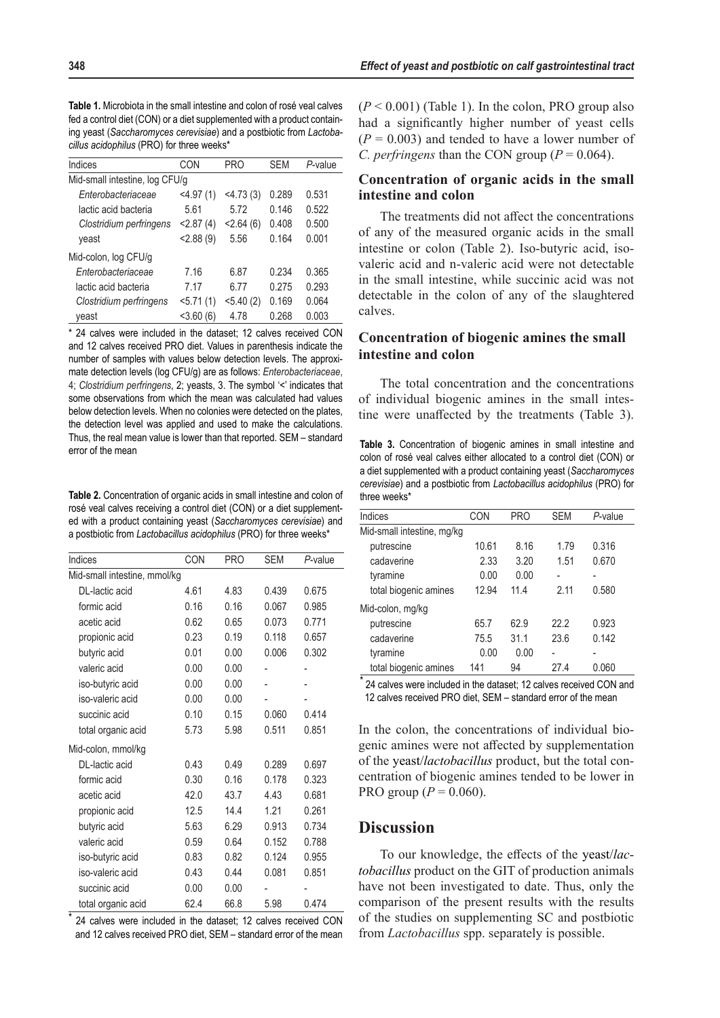| Indices                        | CON            | <b>PRO</b>     | <b>SEM</b> | P-value |  |
|--------------------------------|----------------|----------------|------------|---------|--|
| Mid-small intestine, log CFU/g |                |                |            |         |  |
| Enterobacteriaceae             | $<$ 4.97 $(1)$ | $<$ 4.73 $(3)$ | 0.289      | 0.531   |  |
| lactic acid bacteria           | 5.61           | 5.72           | 0.146      | 0.522   |  |
| Clostridium perfringens        | < 2.87(4)      | < 2.64(6)      | 0.408      | 0.500   |  |
| yeast                          | < 2.88(9)      | 5.56           | 0.164      | 0.001   |  |
| Mid-colon, log CFU/g           |                |                |            |         |  |
| Enterobacteriaceae             | 7.16           | 6.87           | 0.234      | 0.365   |  |
| lactic acid bacteria           | 7.17           | 6.77           | 0.275      | 0.293   |  |
| Clostridium perfringens        | 5.71(1)        | $<$ 5.40 (2)   | 0.169      | 0.064   |  |
| veast                          | $<$ 3.60 $(6)$ | 4.78           | 0.268      | 0.003   |  |

\* 24 calves were included in the dataset; 12 calves received CON and 12 calves received PRO diet. Values in parenthesis indicate the number of samples with values below detection levels. The approximate detection levels (log CFU/g) are as follows: *Enterobacteriaceae*, 4; *Clostridium perfringens*, 2; yeasts, 3. The symbol '<' indicates that some observations from which the mean was calculated had values below detection levels. When no colonies were detected on the plates, the detection level was applied and used to make the calculations. Thus, the real mean value is lower than that reported. SEM – standard error of the mean

**Table 2.** Concentration of organic acids in small intestine and colon of rosé veal calves receiving a control diet (CON) or a diet supplemented with a product containing yeast (*Saccharomyces cerevisiae*) and a postbiotic from *Lactobacillus acidophilus* (PRO) for three weeks\*

| Indices                      | CON  | <b>PRO</b> | <b>SEM</b> | P-value |
|------------------------------|------|------------|------------|---------|
| Mid-small intestine, mmol/kg |      |            |            |         |
| DL-lactic acid               | 4.61 | 4.83       | 0.439      | 0.675   |
| formic acid                  | 0.16 | 0.16       | 0.067      | 0.985   |
| acetic acid                  | 0.62 | 0.65       | 0.073      | 0.771   |
| propionic acid               | 0.23 | 0.19       | 0.118      | 0.657   |
| butyric acid                 | 0.01 | 0.00       | 0.006      | 0.302   |
| valeric acid                 | 0.00 | 0.00       |            |         |
| iso-butyric acid             | 0.00 | 0.00       |            |         |
| iso-valeric acid             | 0.00 | 0.00       |            |         |
| succinic acid                | 0.10 | 0.15       | 0.060      | 0.414   |
| total organic acid           | 5.73 | 5.98       | 0.511      | 0.851   |
| Mid-colon, mmol/kg           |      |            |            |         |
| DL-lactic acid               | 0.43 | 0.49       | 0.289      | 0.697   |
| formic acid                  | 0.30 | 0.16       | 0.178      | 0.323   |
| acetic acid                  | 42.0 | 43.7       | 4.43       | 0.681   |
| propionic acid               | 12.5 | 14.4       | 1.21       | 0.261   |
| butyric acid                 | 5.63 | 6.29       | 0.913      | 0.734   |
| valeric acid                 | 0.59 | 0.64       | 0.152      | 0.788   |
| iso-butyric acid             | 0.83 | 0.82       | 0.124      | 0.955   |
| iso-valeric acid             | 0.43 | 0.44       | 0.081      | 0.851   |
| succinic acid                | 0.00 | 0.00       |            |         |
| total organic acid           | 62.4 | 66.8       | 5.98       | 0.474   |

24 calves were included in the dataset; 12 calves received CON and 12 calves received PRO diet, SEM – standard error of the mean  $(P < 0.001)$  (Table 1). In the colon, PRO group also had a significantly higher number of yeast cells  $(P = 0.003)$  and tended to have a lower number of *C. perfringens* than the CON group ( $P = 0.064$ ).

# **Concentration of organic acids in the small intestine and colon**

The treatments did not affect the concentrations of any of the measured organic acids in the small intestine or colon (Table 2). Iso-butyric acid, isovaleric acid and n-valeric acid were not detectable in the small intestine, while succinic acid was not detectable in the colon of any of the slaughtered calves.

## **Concentration of biogenic amines the small intestine and colon**

The total concentration and the concentrations of individual biogenic amines in the small intestine were unaffected by the treatments (Table 3).

**Table 3.** Concentration of biogenic amines in small intestine and colon of rosé veal calves either allocated to a control diet (CON) or a diet supplemented with a product containing yeast (*Saccharomyces cerevisiae*) and a postbiotic from *Lactobacillus acidophilus* (PRO) for three weeks\*

| Indices                    | CON   | <b>PRO</b> | <b>SEM</b> | P-value |
|----------------------------|-------|------------|------------|---------|
| Mid-small intestine, mg/kg |       |            |            |         |
| putrescine                 | 10.61 | 8.16       | 1.79       | 0.316   |
| cadaverine                 | 2.33  | 3.20       | 1.51       | 0.670   |
| tyramine                   | 0.00  | 0.00       |            |         |
| total biogenic amines      | 12.94 | 11.4       | 2.11       | 0.580   |
| Mid-colon, mg/kg           |       |            |            |         |
| putrescine                 | 65.7  | 62.9       | 22.2       | 0.923   |
| cadaverine                 | 75.5  | 31.1       | 23.6       | 0.142   |
| tyramine                   | 0.00  | 0.00       |            | -       |
| total biogenic amines      | 141   | 94         | 27.4       | 0.060   |

\* 24 calves were included in the dataset; 12 calves received CON and 12 calves received PRO diet, SEM – standard error of the mean

In the colon, the concentrations of individual biogenic amines were not affected by supplementation of the yeast/*lactobacillus* product, but the total concentration of biogenic amines tended to be lower in PRO group ( $P = 0.060$ ).

# **Discussion**

To our knowledge, the effects of the yeast/*lactobacillus* product on the GIT of production animals have not been investigated to date. Thus, only the comparison of the present results with the results of the studies on supplementing SC and postbiotic from *Lactobacillus* spp. separately is possible.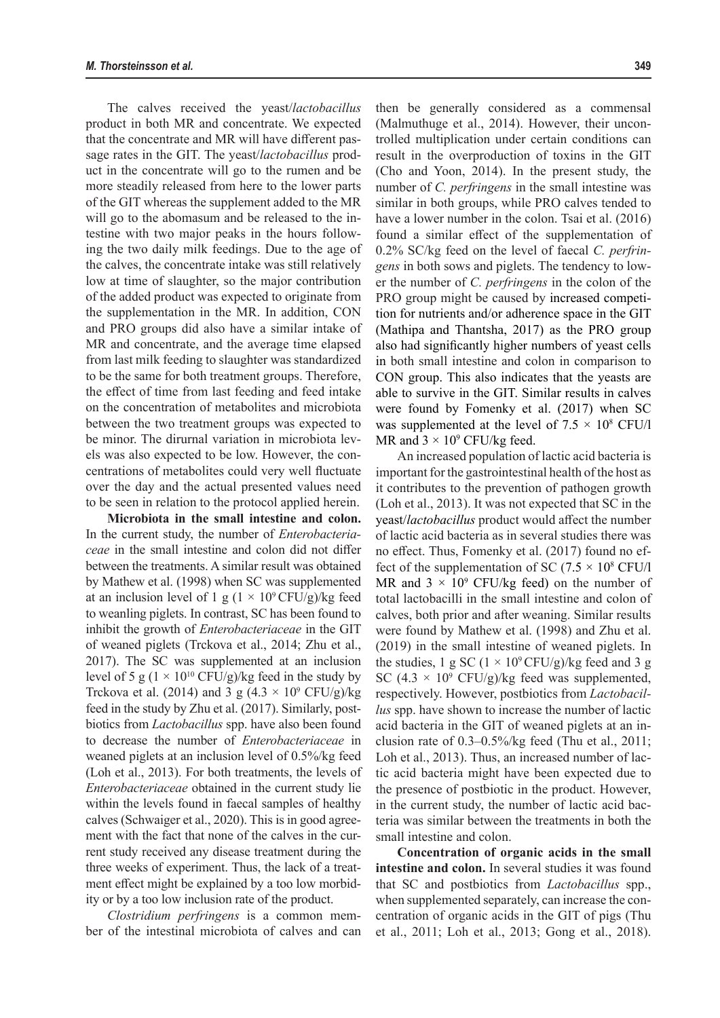The calves received the yeast/*lactobacillus*  product in both MR and concentrate. We expected that the concentrate and MR will have different passage rates in the GIT. The yeast/*lactobacillus* product in the concentrate will go to the rumen and be more steadily released from here to the lower parts of the GIT whereas the supplement added to the MR will go to the abomasum and be released to the intestine with two major peaks in the hours following the two daily milk feedings. Due to the age of the calves, the concentrate intake was still relatively low at time of slaughter, so the major contribution of the added product was expected to originate from the supplementation in the MR. In addition, CON and PRO groups did also have a similar intake of MR and concentrate, and the average time elapsed from last milk feeding to slaughter was standardized to be the same for both treatment groups. Therefore, the effect of time from last feeding and feed intake on the concentration of metabolites and microbiota between the two treatment groups was expected to be minor. The dirurnal variation in microbiota levels was also expected to be low. However, the concentrations of metabolites could very well fluctuate over the day and the actual presented values need to be seen in relation to the protocol applied herein.

**Microbiota in the small intestine and colon.**  In the current study, the number of *Enterobacteriaceae* in the small intestine and colon did not differ between the treatments. A similar result was obtained by Mathew et al. (1998) when SC was supplemented at an inclusion level of 1 g ( $1 \times 10^9$  CFU/g)/kg feed to weanling piglets. In contrast, SC has been found to inhibit the growth of *Enterobacteriaceae* in the GIT of weaned piglets (Trckova et al., 2014; Zhu et al., 2017). The SC was supplemented at an inclusion level of 5 g ( $1 \times 10^{10}$  CFU/g)/kg feed in the study by Trckova et al. (2014) and 3 g (4.3  $\times$  10<sup>9</sup> CFU/g)/kg feed in the study by Zhu et al. (2017). Similarly, postbiotics from *Lactobacillus* spp. have also been found to decrease the number of *Enterobacteriaceae* in weaned piglets at an inclusion level of 0.5%/kg feed (Loh et al., 2013). For both treatments, the levels of *Enterobacteriaceae* obtained in the current study lie within the levels found in faecal samples of healthy calves (Schwaiger et al., 2020). This is in good agreement with the fact that none of the calves in the current study received any disease treatment during the three weeks of experiment. Thus, the lack of a treatment effect might be explained by a too low morbidity or by a too low inclusion rate of the product.

*Clostridium perfringens* is a common member of the intestinal microbiota of calves and can then be generally considered as a commensal (Malmuthuge et al., 2014). However, their uncontrolled multiplication under certain conditions can result in the overproduction of toxins in the GIT (Cho and Yoon, 2014). In the present study, the number of *C. perfringens* in the small intestine was similar in both groups, while PRO calves tended to have a lower number in the colon. Tsai et al. (2016) found a similar effect of the supplementation of 0.2% SC/kg feed on the level of faecal *C. perfringens* in both sows and piglets. The tendency to lower the number of *C. perfringens* in the colon of the PRO group might be caused by increased competition for nutrients and/or adherence space in the GIT (Mathipa and Thantsha, 2017) as the PRO group also had significantly higher numbers of yeast cells in both small intestine and colon in comparison to CON group. This also indicates that the yeasts are able to survive in the GIT. Similar results in calves were found by Fomenky et al. (2017) when SC was supplemented at the level of  $7.5 \times 10^8$  CFU/l MR and  $3 \times 10^9$  CFU/kg feed.

An increased population of lactic acid bacteria is important for the gastrointestinal health of the host as it contributes to the prevention of pathogen growth (Loh et al., 2013). It was not expected that SC in the yeast/*lactobacillus* product would affect the number of lactic acid bacteria as in several studies there was no effect. Thus, Fomenky et al. (2017) found no effect of the supplementation of SC (7.5  $\times$  10<sup>8</sup> CFU/l MR and  $3 \times 10^9$  CFU/kg feed) on the number of total lactobacilli in the small intestine and colon of calves, both prior and after weaning. Similar results were found by Mathew et al. (1998) and Zhu et al. (2019) in the small intestine of weaned piglets. In the studies, 1 g SC ( $1 \times 10^9$  CFU/g)/kg feed and 3 g SC  $(4.3 \times 10^9 \text{ CFU/g})/kg$  feed was supplemented, respectively. However, postbiotics from *Lactobacillus* spp. have shown to increase the number of lactic acid bacteria in the GIT of weaned piglets at an inclusion rate of 0.3–0.5%/kg feed (Thu et al., 2011; Loh et al., 2013). Thus, an increased number of lactic acid bacteria might have been expected due to the presence of postbiotic in the product. However, in the current study, the number of lactic acid bacteria was similar between the treatments in both the small intestine and colon.

**Concentration of organic acids in the small intestine and colon.** In several studies it was found that SC and postbiotics from *Lactobacillus* spp., when supplemented separately, can increase the concentration of organic acids in the GIT of pigs (Thu et al., 2011; Loh et al., 2013; Gong et al., 2018).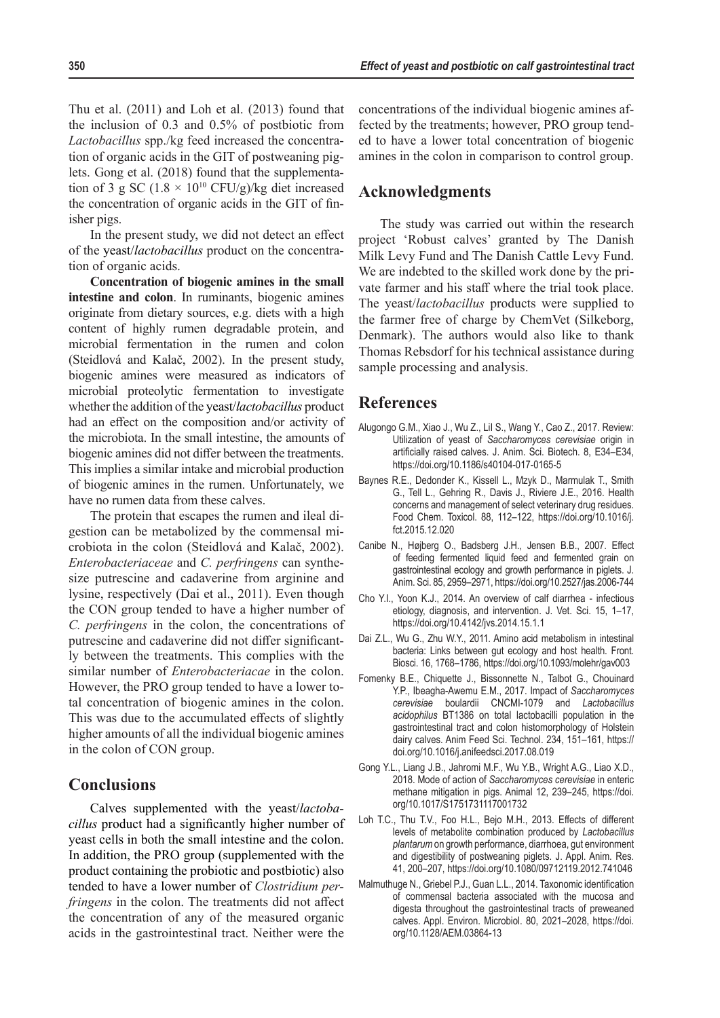Thu et al. (2011) and Loh et al. (2013) found that the inclusion of 0.3 and 0.5% of postbiotic from *Lactobacillus* spp./kg feed increased the concentration of organic acids in the GIT of postweaning piglets. Gong et al. (2018) found that the supplementation of 3 g SC (1.8  $\times$  10<sup>10</sup> CFU/g)/kg diet increased the concentration of organic acids in the GIT of finisher pigs.

In the present study, we did not detect an effect of the yeast/*lactobacillus* product on the concentration of organic acids.

**Concentration of biogenic amines in the small intestine and colon**. In ruminants, biogenic amines originate from dietary sources, e.g. diets with a high content of highly rumen degradable protein, and microbial fermentation in the rumen and colon (Steidlová and Kalač, 2002). In the present study, biogenic amines were measured as indicators of microbial proteolytic fermentation to investigate whether the addition of the yeast/*lactobacillus* product had an effect on the composition and/or activity of the microbiota. In the small intestine, the amounts of biogenic amines did not differ between the treatments. This implies a similar intake and microbial production of biogenic amines in the rumen. Unfortunately, we have no rumen data from these calves.

The protein that escapes the rumen and ileal digestion can be metabolized by the commensal microbiota in the colon (Steidlová and Kalač, 2002). *Enterobacteriaceae* and *C. perfringens* can synthesize putrescine and cadaverine from arginine and lysine, respectively (Dai et al., 2011). Even though the CON group tended to have a higher number of *C. perfringens* in the colon, the concentrations of putrescine and cadaverine did not differ significantly between the treatments. This complies with the similar number of *Enterobacteriacae* in the colon. However, the PRO group tended to have a lower total concentration of biogenic amines in the colon. This was due to the accumulated effects of slightly higher amounts of all the individual biogenic amines in the colon of CON group.

### **Conclusions**

Calves supplemented with the yeast/*lactobacillus* product had a significantly higher number of yeast cells in both the small intestine and the colon. In addition, the PRO group (supplemented with the product containing the probiotic and postbiotic) also tended to have a lower number of *Clostridium perfringens* in the colon. The treatments did not affect the concentration of any of the measured organic acids in the gastrointestinal tract. Neither were the concentrations of the individual biogenic amines affected by the treatments; however, PRO group tended to have a lower total concentration of biogenic amines in the colon in comparison to control group.

## **Acknowledgments**

The study was carried out within the research project 'Robust calves' granted by The Danish Milk Levy Fund and The Danish Cattle Levy Fund. We are indebted to the skilled work done by the private farmer and his staff where the trial took place. The yeast/*lactobacillus* products were supplied to the farmer free of charge by ChemVet (Silkeborg, Denmark). The authors would also like to thank Thomas Rebsdorf for his technical assistance during sample processing and analysis.

## **References**

- Alugongo G.M., Xiao J., Wu Z., LiI S., Wang Y., Cao Z., 2017. Review: Utilization of yeast of *Saccharomyces cerevisiae* origin in artificially raised calves. J. Anim. Sci. Biotech. 8, E34–E34, https://doi.org/10.1186/s40104-017-0165-5
- Baynes R.E., Dedonder K., Kissell L., Mzyk D., Marmulak T., Smith G., Tell L., Gehring R., Davis J., Riviere J.E., 2016. Health concerns and management of select veterinary drug residues. Food Chem. Toxicol. 88, 112–122, https://doi.org/10.1016/j. fct.2015.12.020
- Canibe N., Højberg O., Badsberg J.H., Jensen B.B., 2007. Effect of feeding fermented liquid feed and fermented grain on gastrointestinal ecology and growth performance in piglets. J. Anim. Sci. 85, 2959–2971, https://doi.org/10.2527/jas.2006-744
- Cho Y.I., Yoon K.J., 2014. An overview of calf diarrhea infectious etiology, diagnosis, and intervention. J. Vet. Sci. 15, 1–17, https://doi.org/10.4142/jvs.2014.15.1.1
- Dai Z.L., Wu G., Zhu W.Y., 2011. Amino acid metabolism in intestinal bacteria: Links between gut ecology and host health. Front. Biosci. 16, 1768–1786, https://doi.org/10.1093/molehr/gav003
- Fomenky B.E., Chiquette J., Bissonnette N., Talbot G., Chouinard Y.P., Ibeagha-Awemu E.M., 2017. Impact of *Saccharomyces cerevisiae* boulardii CNCMI-1079 and *Lactobacillus acidophilus* BT1386 on total lactobacilli population in the gastrointestinal tract and colon histomorphology of Holstein dairy calves. Anim Feed Sci. Technol. 234, 151–161, https:// doi.org/10.1016/j.anifeedsci.2017.08.019
- Gong Y.L., Liang J.B., Jahromi M.F., Wu Y.B., Wright A.G., Liao X.D., 2018. Mode of action of *Saccharomyces cerevisiae* in enteric methane mitigation in pigs. Animal 12, 239–245, https://doi. org/10.1017/S1751731117001732
- Loh T.C., Thu T.V., Foo H.L., Bejo M.H., 2013. Effects of different levels of metabolite combination produced by *Lactobacillus plantarum* on growth performance, diarrhoea, gut environment and digestibility of postweaning piglets. J. Appl. Anim. Res. 41, 200–207, https://doi.org/10.1080/09712119.2012.741046
- Malmuthuge N., Griebel P.J., Guan L.L., 2014. Taxonomic identification of commensal bacteria associated with the mucosa and digesta throughout the gastrointestinal tracts of preweaned calves. Appl. Environ. Microbiol. 80, 2021–2028, https://doi. org/10.1128/AEM.03864-13